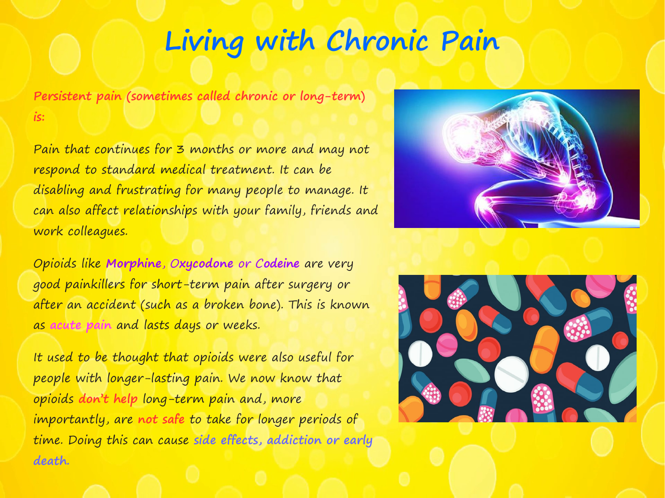# **Living with Chronic Pain**

**Persistent pain (sometimes called chronic or long-term) is:**

Pain that continues for 3 months or more and may not respond to standard medical treatment. It can be disabling and frustrating for many people to manage. It can also affect relationships with your family, friends and work colleagues.

Opioids like **Morphine**, O**xycodone** or C**odeine** are very good painkillers for short-term pain after surgery or after an accident (such as a broken bone). This is known as **acute pain** and lasts days or weeks.

It used to be thought that opioids were also useful for people with longer-lasting pain. We now know that opioids **don't help** long-term pain and, more importantly, are **not safe** to take for longer periods of time. Doing this can cause **side effects, addiction or early death.**



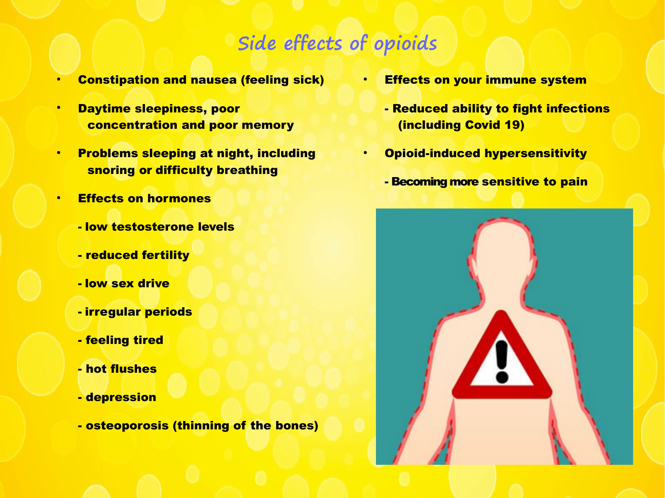# **Side effects of opioids**

- **Constipation and nausea (feeling sick)**
- **Daytime sleepiness, poor** concentration and poor memory
- Problems sleeping at night, including snoring or difficulty breathing
- Effects on hormones
	- low testosterone levels
	- reduced fertility
	- low sex drive
	- irregular periods
	- feeling tired
	- hot flushes
	- depression
	- osteoporosis (thinning of the bones)
- **Effects on your immune system**
- Reduced ability to fight infections (including Covid 19)
- Opioid-induced hypersensitivity
	- Becoming more sensitive to pain

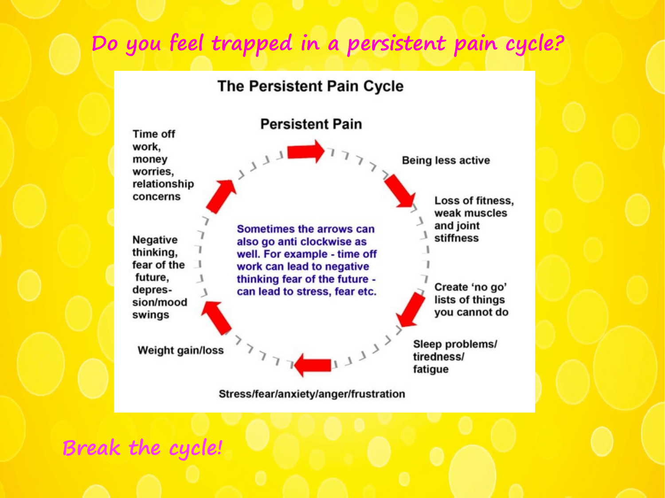# **Do you feel trapped in a persistent pain cycle?**

### **The Persistent Pain Cycle**



**Break the cycle!**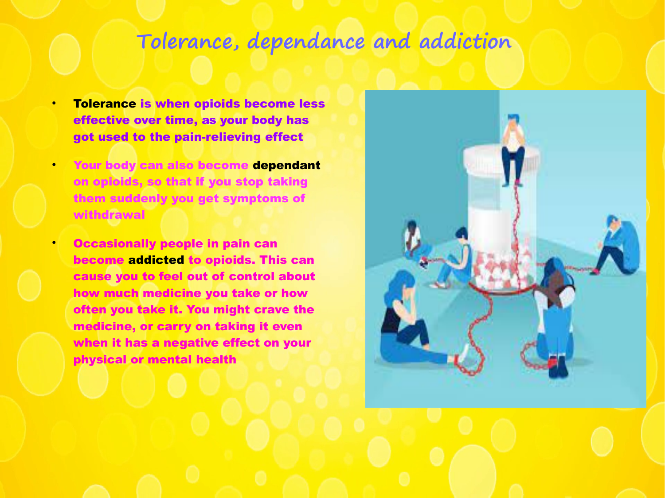## **Tolerance, dependance and addiction**

- **Tolerance is when opioids become less** effective over time, as your body has got used to the pain-relieving effect
- Your body can also become dependant on opioids, so that if you stop taking them suddenly you get symptoms of withdrawal
	- Occasionally people in pain can become addicted to opioids. This can cause you to feel out of control about how much medicine you take or how often you take it. You might crave the medicine, or carry on taking it even when it has a negative effect on your physical or mental health